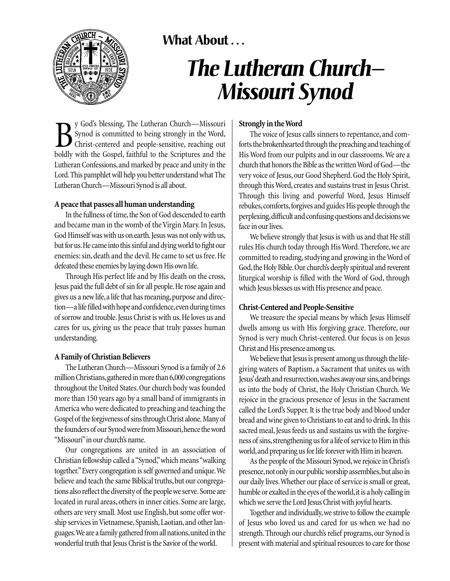

# **What About . . .**

# *The Lutheran Church— Missouri Synod*

By God's blessing, The Lutheran Church—Missouri<br>Synod is committed to being strongly in the Word,<br>Christ-centered and people-sensitive, reaching out<br>boldly with the Gospel, faithful to the Scriptures and the y God's blessing, The Lutheran Church—Missouri Synod is committed to being strongly in the Word, Christ-centered and people-sensitive, reaching out Lutheran Confessions, and marked by peace and unity in the Lord.This pamphlet will help you better understand what The Lutheran Church—Missouri Synod is all about.

#### **A peace that passes all human understanding**

In the fullness of time, the Son of God descended to earth and became man in the womb of the Virgin Mary. In Jesus, God Himself was with us on earth. Jesus was not only with us, but for us.He came into this sinful and dying world to fight our enemies: sin, death and the devil. He came to set us free. He defeated these enemies by laying down His own life.

Through His perfect life and by His death on the cross, Jesus paid the full debt of sin for all people.He rose again and gives us a new life, a life that has meaning, purpose and direction—a life filled with hope and confidence, even during times of sorrow and trouble. Jesus Christ is with us. He loves us and cares for us, giving us the peace that truly passes human understanding.

## **A Family of Christian Believers**

The Lutheran Church—Missouri Synod is a family of 2.6 million Christians,gathered in more than 6,000 congregations throughout the United States.Our church body was founded more than 150 years ago by a small band of immigrants in America who were dedicated to preaching and teaching the Gospel of the forgiveness of sins through Christ alone. Many of the founders of our Synod were from Missouri, hence the word "Missouri" in our church's name.

Our congregations are united in an association of Christian fellowship called a "Synod,"which means "walking together."Every congregation is self governed and unique.We believe and teach the same Biblical truths, but our congregations also reflect the diversity of the people we serve. Some are located in rural areas, others in inner cities. Some are large, others are very small. Most use English, but some offer worship services in Vietnamese, Spanish, Laotian, and other languages.We are a family gathered from all nations,united in the wonderful truth that Jesus Christ is the Savior of the world.

# **Strongly in the Word**

The voice of Jesus calls sinners to repentance, and comforts the brokenhearted through the preaching and teaching of His Word from our pulpits and in our classrooms.We are a church that honors the Bible as the written Word of God—the very voice of Jesus, our Good Shepherd. God the Holy Spirit, through this Word, creates and sustains trust in Jesus Christ. Through this living and powerful Word, Jesus Himself rebukes, comforts, forgives and guides His people through the perplexing,difficult and confusing questions and decisions we face in our lives.

We believe strongly that Jesus is with us and that He still rules His church today through His Word. Therefore, we are committed to reading, studying and growing in the Word of God,the Holy Bible.Our church's deeply spiritual and reverent liturgical worship is filled with the Word of God, through which Jesus blesses us with His presence and peace.

## **Christ-Centered and People-Sensitive**

We treasure the special means by which Jesus Himself dwells among us with His forgiving grace. Therefore, our Synod is very much Christ-centered. Our focus is on Jesus Christ and His presence among us.

We believe that Jesus is present among us through the lifegiving waters of Baptism, a Sacrament that unites us with Jesus'death and resurrection,washes away our sins,and brings us into the body of Christ, the Holy Christian Church. We rejoice in the gracious presence of Jesus in the Sacrament called the Lord's Supper. It is the true body and blood under bread and wine given to Christians to eat and to drink. In this sacred meal, Jesus feeds us and sustains us with the forgiveness of sins, strengthening us for a life of service to Him in this world,and preparing us for life forever with Him in heaven.

As the people of the Missouri Synod,we rejoice in Christ's presence, not only in our public worship assemblies, but also in our daily lives.Whether our place of service is small or great, humble or exalted in the eyes of the world, it is a holy calling in which we serve the Lord Jesus Christ with joyful hearts.

Together and individually, we strive to follow the example of Jesus who loved us and cared for us when we had no strength.Through our church's relief programs, our Synod is present with material and spiritual resources to care for those